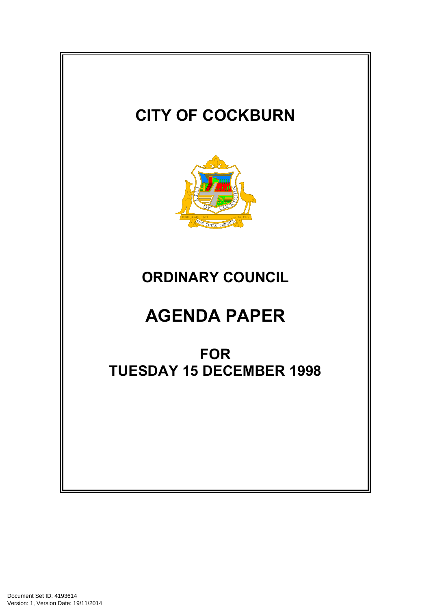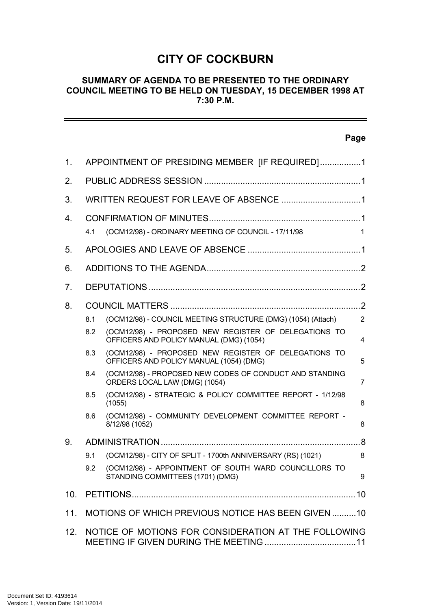# **CITY OF COCKBURN**

#### **SUMMARY OF AGENDA TO BE PRESENTED TO THE ORDINARY COUNCIL MEETING TO BE HELD ON TUESDAY, 15 DECEMBER 1998 AT 7:30 P.M.**

# **Page** 1. APPOINTMENT OF PRESIDING MEMBER [IF REQUIRED].................[1](#page-4-0) 2. PUBLIC ADDRESS SESSION .................................................................[1](#page-4-1) 3. WRITTEN REQUEST FOR LEAVE OF ABSENCE .................................[1](#page-4-2) 4. CONFIRMATION OF MINUTES...............................................................[1](#page-4-3) 4.1 (OCM12/98) - ORDINARY MEETING OF COUNCIL - 17/11/98 [1](#page-4-4) 5. APOLOGIES AND LEAVE OF ABSENCE ...............................................[1](#page-4-5) 6. ADDITIONS TO THE AGENDA................................................................[2](#page-5-0) 7. DEPUTATIONS........................................................................................[2](#page-5-1) 8. COUNCIL MATTERS ...............................................................................[2](#page-5-2) 8.1 (OCM12/98) - COUNCIL MEETING STRUCTURE (DMG) (1054) (Attach) [2](#page-5-3) 8.2 (OCM12/98) - PROPOSED NEW REGISTER OF DELEGATIONS TO OFFICERS AND POLICY MANUAL (DMG) (1054) [4](#page-7-0) 8.3 (OCM12/98) - PROPOSED NEW REGISTER OF DELEGATIONS TO OFFICERS AND POLICY MANUAL (10[5](#page-8-0)4) (DMG) 5 8.4 (OCM12/98) - PROPOSED NEW CODES OF CONDUCT AND STANDING ORDERS LOCAL LAW (DMG) (1054) [7](#page-10-0) 8.5 (OCM12/98) - STRATEGIC & POLICY COMMITTEE REPORT - 1/12/98 (1055) [8](#page-11-0) 8.6 (OCM12/98) - COMMUNITY DEVELOPMENT COMMITTEE REPORT - 8/12/98 (1052) [8](#page-11-1) 9. ADMINISTRATION...................................................................................[8](#page-11-2) 9.1 (OCM12/98) - CITY OF SPLIT - 1700th ANNIVERSARY (RS) (1021) [8](#page-11-3) 9.2 (OCM12/98) - APPOINTMENT OF SOUTH WARD COUNCILLORS TO STANDING COMMITTEES (1701) (DMG) [9](#page-12-0) 10. PETITIONS.............................................................................................[10](#page-13-0) 11. MOTIONS OF WHICH PREVIOUS NOTICE HAS BEEN GIVEN .........[.10](#page-13-1) 12. NOTICE OF MOTIONS FOR CONSIDERATION AT THE FOLLOWING MEETING IF GIVEN DURING THE MEETING ......................................[11](#page-14-0)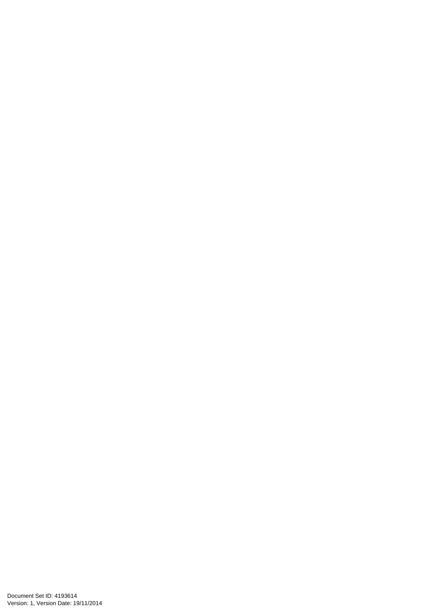Document Set ID: 4193614<br>Version: 1, Version Date: 19/11/2014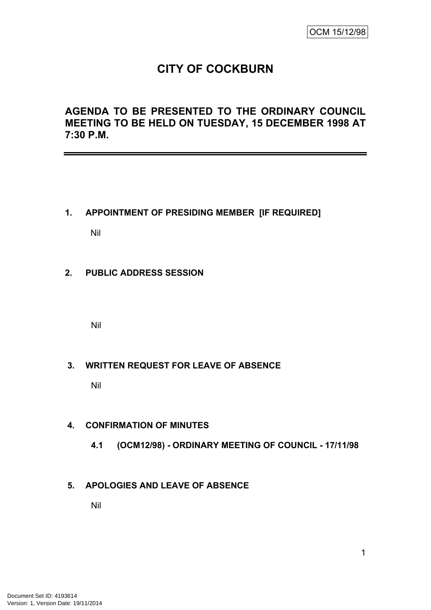# **CITY OF COCKBURN**

## **AGENDA TO BE PRESENTED TO THE ORDINARY COUNCIL MEETING TO BE HELD ON TUESDAY, 15 DECEMBER 1998 AT 7:30 P.M.**

## <span id="page-4-0"></span>**1. APPOINTMENT OF PRESIDING MEMBER [IF REQUIRED]**

Nil

## <span id="page-4-1"></span>**2. PUBLIC ADDRESS SESSION**

Nil

## <span id="page-4-2"></span>**3. WRITTEN REQUEST FOR LEAVE OF ABSENCE**

Nil

## <span id="page-4-3"></span>**4. CONFIRMATION OF MINUTES**

<span id="page-4-4"></span>**4.1 (OCM12/98) - ORDINARY MEETING OF COUNCIL - 17/11/98**

## <span id="page-4-5"></span>**5. APOLOGIES AND LEAVE OF ABSENCE**

Nil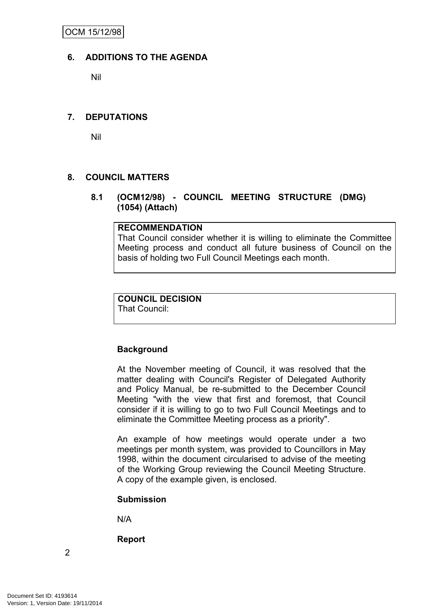OCM 15/12/98

#### <span id="page-5-0"></span>**6. ADDITIONS TO THE AGENDA**

Nil

#### <span id="page-5-1"></span>**7. DEPUTATIONS**

Nil

#### <span id="page-5-2"></span>**8. COUNCIL MATTERS**

#### <span id="page-5-3"></span>**8.1 (OCM12/98) - COUNCIL MEETING STRUCTURE (DMG) (1054) (Attach)**

#### **RECOMMENDATION**

That Council consider whether it is willing to eliminate the Committee Meeting process and conduct all future business of Council on the basis of holding two Full Council Meetings each month.

#### **COUNCIL DECISION**

That Council:

#### **Background**

At the November meeting of Council, it was resolved that the matter dealing with Council's Register of Delegated Authority and Policy Manual, be re-submitted to the December Council Meeting "with the view that first and foremost, that Council consider if it is willing to go to two Full Council Meetings and to eliminate the Committee Meeting process as a priority".

An example of how meetings would operate under a two meetings per month system, was provided to Councillors in May 1998, within the document circularised to advise of the meeting of the Working Group reviewing the Council Meeting Structure. A copy of the example given, is enclosed.

#### **Submission**

N/A

**Report**

2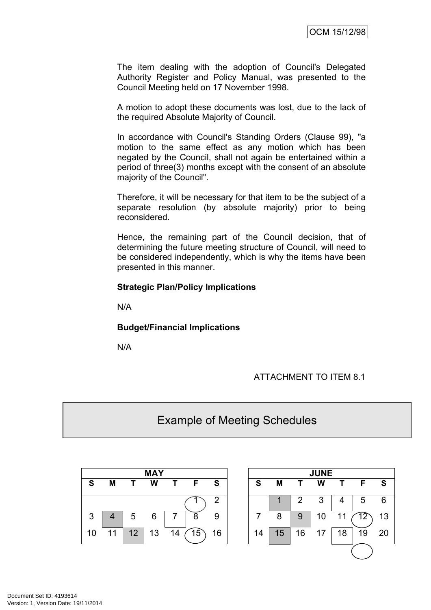The item dealing with the adoption of Council's Delegated Authority Register and Policy Manual, was presented to the Council Meeting held on 17 November 1998.

A motion to adopt these documents was lost, due to the lack of the required Absolute Majority of Council.

In accordance with Council's Standing Orders (Clause 99), "a motion to the same effect as any motion which has been negated by the Council, shall not again be entertained within a period of three(3) months except with the consent of an absolute majority of the Council".

Therefore, it will be necessary for that item to be the subject of a separate resolution (by absolute majority) prior to being reconsidered.

Hence, the remaining part of the Council decision, that of determining the future meeting structure of Council, will need to be considered independently, which is why the items have been presented in this manner.

#### **Strategic Plan/Policy Implications**

N/A

#### **Budget/Financial Implications**

N/A

## ATTACHMENT TO ITEM 8.1

# Example of Meeting Schedules

| <b>MAY</b> |    |    |    |    |        |    |  |  |  |
|------------|----|----|----|----|--------|----|--|--|--|
| S          | Μ  |    | W  | т  | F      | S  |  |  |  |
|            |    |    |    |    |        | 2  |  |  |  |
| 3          |    | 5  | 6  |    | R      | 9  |  |  |  |
| 10         | 11 | 12 | 13 | 14 | $15\,$ | 16 |  |  |  |

| <b>MAY</b>   |    |                 |    |    |                | <b>JUNE</b> |    |    |                |    |    |    |          |
|--------------|----|-----------------|----|----|----------------|-------------|----|----|----------------|----|----|----|----------|
| S            | M  |                 | W  |    | F              | S           | S  | M  |                | W  |    | F  | <b>S</b> |
|              |    |                 |    |    |                | 2           |    |    | $\overline{2}$ | 3  |    | 5  | 6        |
| $\mathbf{3}$ |    | 5               | 6  |    | $\overline{8}$ | 9           | 7  | 8  | 9              | 10 | 11 |    | 13       |
| 10           | 11 | 12 <sup>7</sup> | 13 | 14 | 15             | 16          | 14 | 15 | 16             | 17 | 18 | 19 | 20       |
|              |    |                 |    |    |                |             |    |    |                |    |    |    |          |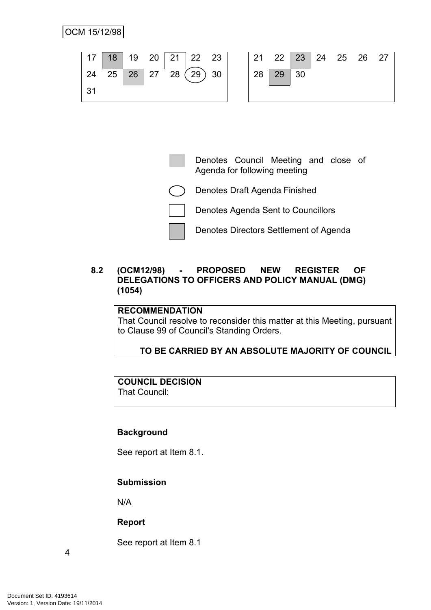

Denotes Council Meeting and close of Agenda for following meeting

- Denotes Draft Agenda Finished
	- Denotes Agenda Sent to Councillors
		- Denotes Directors Settlement of Agenda

## <span id="page-7-0"></span>**8.2 (OCM12/98) - PROPOSED NEW REGISTER OF DELEGATIONS TO OFFICERS AND POLICY MANUAL (DMG) (1054)**

#### **RECOMMENDATION**

That Council resolve to reconsider this matter at this Meeting, pursuant to Clause 99 of Council's Standing Orders.

#### **TO BE CARRIED BY AN ABSOLUTE MAJORITY OF COUNCIL**

## **COUNCIL DECISION**

That Council:

#### **Background**

See report at Item 8.1.

#### **Submission**

N/A

#### **Report**

See report at Item 8.1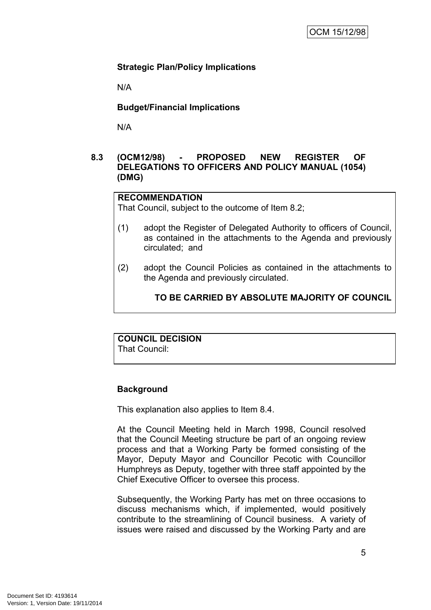## **Strategic Plan/Policy Implications**

N/A

## **Budget/Financial Implications**

N/A

## <span id="page-8-0"></span>**8.3 (OCM12/98) - PROPOSED NEW REGISTER OF DELEGATIONS TO OFFICERS AND POLICY MANUAL (1054) (DMG)**

## **RECOMMENDATION**

That Council, subject to the outcome of Item 8.2;

- (1) adopt the Register of Delegated Authority to officers of Council, as contained in the attachments to the Agenda and previously circulated; and
- (2) adopt the Council Policies as contained in the attachments to the Agenda and previously circulated.

## **TO BE CARRIED BY ABSOLUTE MAJORITY OF COUNCIL**

# **COUNCIL DECISION**

That Council:

## **Background**

This explanation also applies to Item 8.4.

At the Council Meeting held in March 1998, Council resolved that the Council Meeting structure be part of an ongoing review process and that a Working Party be formed consisting of the Mayor, Deputy Mayor and Councillor Pecotic with Councillor Humphreys as Deputy, together with three staff appointed by the Chief Executive Officer to oversee this process.

Subsequently, the Working Party has met on three occasions to discuss mechanisms which, if implemented, would positively contribute to the streamlining of Council business. A variety of issues were raised and discussed by the Working Party and are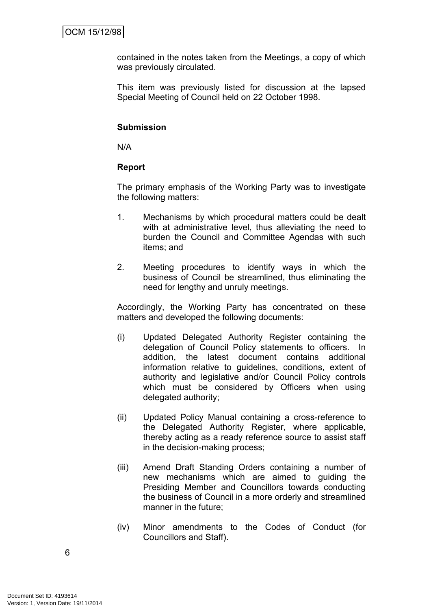contained in the notes taken from the Meetings, a copy of which was previously circulated.

This item was previously listed for discussion at the lapsed Special Meeting of Council held on 22 October 1998.

## **Submission**

N/A

## **Report**

The primary emphasis of the Working Party was to investigate the following matters:

- 1. Mechanisms by which procedural matters could be dealt with at administrative level, thus alleviating the need to burden the Council and Committee Agendas with such items; and
- 2. Meeting procedures to identify ways in which the business of Council be streamlined, thus eliminating the need for lengthy and unruly meetings.

Accordingly, the Working Party has concentrated on these matters and developed the following documents:

- (i) Updated Delegated Authority Register containing the delegation of Council Policy statements to officers. In addition, the latest document contains additional information relative to guidelines, conditions, extent of authority and legislative and/or Council Policy controls which must be considered by Officers when using delegated authority;
- (ii) Updated Policy Manual containing a cross-reference to the Delegated Authority Register, where applicable, thereby acting as a ready reference source to assist staff in the decision-making process;
- (iii) Amend Draft Standing Orders containing a number of new mechanisms which are aimed to guiding the Presiding Member and Councillors towards conducting the business of Council in a more orderly and streamlined manner in the future;
- (iv) Minor amendments to the Codes of Conduct (for Councillors and Staff).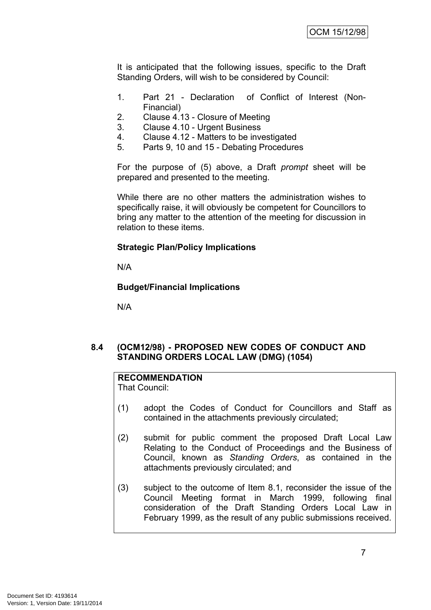It is anticipated that the following issues, specific to the Draft Standing Orders, will wish to be considered by Council:

- 1. Part 21 Declaration of Conflict of Interest (Non-Financial)
- 2. Clause 4.13 Closure of Meeting
- 3. Clause 4.10 Urgent Business
- 4. Clause 4.12 Matters to be investigated
- 5. Parts 9, 10 and 15 Debating Procedures

For the purpose of (5) above, a Draft *prompt* sheet will be prepared and presented to the meeting.

While there are no other matters the administration wishes to specifically raise, it will obviously be competent for Councillors to bring any matter to the attention of the meeting for discussion in relation to these items.

#### **Strategic Plan/Policy Implications**

N/A

#### **Budget/Financial Implications**

N/A

#### <span id="page-10-0"></span>**8.4 (OCM12/98) - PROPOSED NEW CODES OF CONDUCT AND STANDING ORDERS LOCAL LAW (DMG) (1054)**

## **RECOMMENDATION**

That Council:

- (1) adopt the Codes of Conduct for Councillors and Staff as contained in the attachments previously circulated;
- (2) submit for public comment the proposed Draft Local Law Relating to the Conduct of Proceedings and the Business of Council, known as *Standing Orders*, as contained in the attachments previously circulated; and
- (3) subject to the outcome of Item 8.1, reconsider the issue of the Council Meeting format in March 1999, following final consideration of the Draft Standing Orders Local Law in February 1999, as the result of any public submissions received.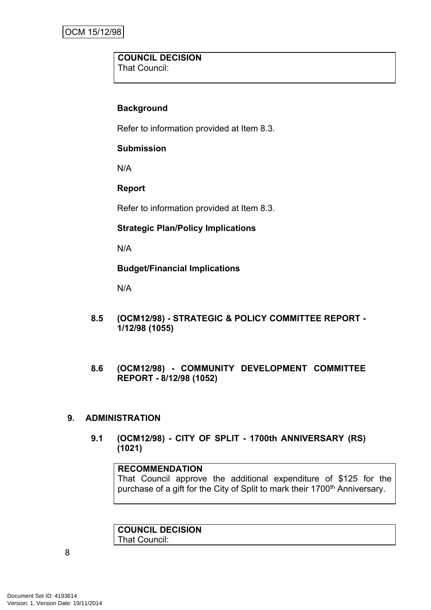## **COUNCIL DECISION**

That Council:

## **Background**

Refer to information provided at Item 8.3.

## **Submission**

N/A

## **Report**

Refer to information provided at Item 8.3.

## **Strategic Plan/Policy Implications**

N/A

## **Budget/Financial Implications**

N/A

- <span id="page-11-0"></span>**8.5 (OCM12/98) - STRATEGIC & POLICY COMMITTEE REPORT - 1/12/98 (1055)**
- <span id="page-11-1"></span>**8.6 (OCM12/98) - COMMUNITY DEVELOPMENT COMMITTEE REPORT - 8/12/98 (1052)**

## <span id="page-11-2"></span>**9. ADMINISTRATION**

<span id="page-11-3"></span>**9.1 (OCM12/98) - CITY OF SPLIT - 1700th ANNIVERSARY (RS) (1021)**

## **RECOMMENDATION**

That Council approve the additional expenditure of \$125 for the purchase of a gift for the City of Split to mark their 1700<sup>th</sup> Anniversary.

## **COUNCIL DECISION**

That Council: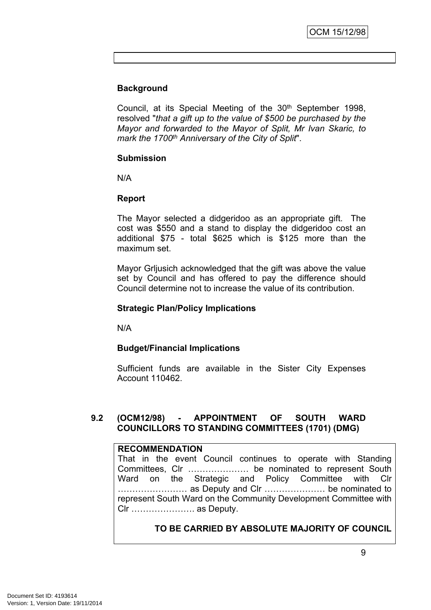## **Background**

Council, at its Special Meeting of the 30<sup>th</sup> September 1998, resolved "*that a gift up to the value of \$500 be purchased by the Mayor and forwarded to the Mayor of Split, Mr Ivan Skaric, to mark the 1700th Anniversary of the City of Split*".

## **Submission**

N/A

## **Report**

The Mayor selected a didgeridoo as an appropriate gift. The cost was \$550 and a stand to display the didgeridoo cost an additional \$75 - total \$625 which is \$125 more than the maximum set.

Mayor Grljusich acknowledged that the gift was above the value set by Council and has offered to pay the difference should Council determine not to increase the value of its contribution.

## **Strategic Plan/Policy Implications**

N/A

## **Budget/Financial Implications**

Sufficient funds are available in the Sister City Expenses Account 110462.

## <span id="page-12-0"></span>**9.2 (OCM12/98) - APPOINTMENT OF SOUTH WARD COUNCILLORS TO STANDING COMMITTEES (1701) (DMG)**

#### **RECOMMENDATION**

That in the event Council continues to operate with Standing Committees, Clr ………………… be nominated to represent South Ward on the Strategic and Policy Committee with Clr …………………… as Deputy and Clr ………………… be nominated to represent South Ward on the Community Development Committee with Clr …………………. as Deputy.

## **TO BE CARRIED BY ABSOLUTE MAJORITY OF COUNCIL**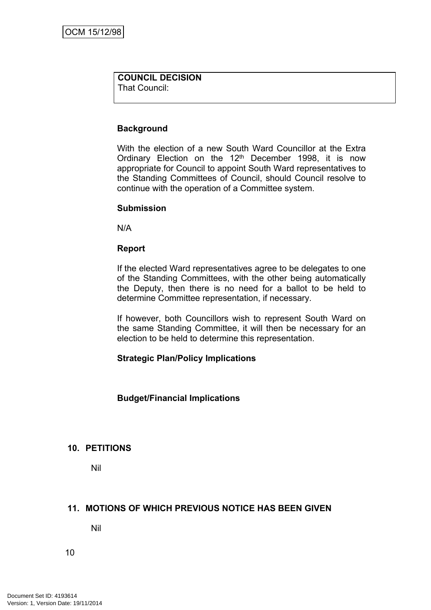# **COUNCIL DECISION**

That Council:

## **Background**

With the election of a new South Ward Councillor at the Extra Ordinary Election on the 12<sup>th</sup> December 1998, it is now appropriate for Council to appoint South Ward representatives to the Standing Committees of Council, should Council resolve to continue with the operation of a Committee system.

## **Submission**

N/A

## **Report**

If the elected Ward representatives agree to be delegates to one of the Standing Committees, with the other being automatically the Deputy, then there is no need for a ballot to be held to determine Committee representation, if necessary.

If however, both Councillors wish to represent South Ward on the same Standing Committee, it will then be necessary for an election to be held to determine this representation.

## **Strategic Plan/Policy Implications**

## **Budget/Financial Implications**

## <span id="page-13-0"></span>**10. PETITIONS**

Nil

## <span id="page-13-1"></span>**11. MOTIONS OF WHICH PREVIOUS NOTICE HAS BEEN GIVEN**

Nil

10